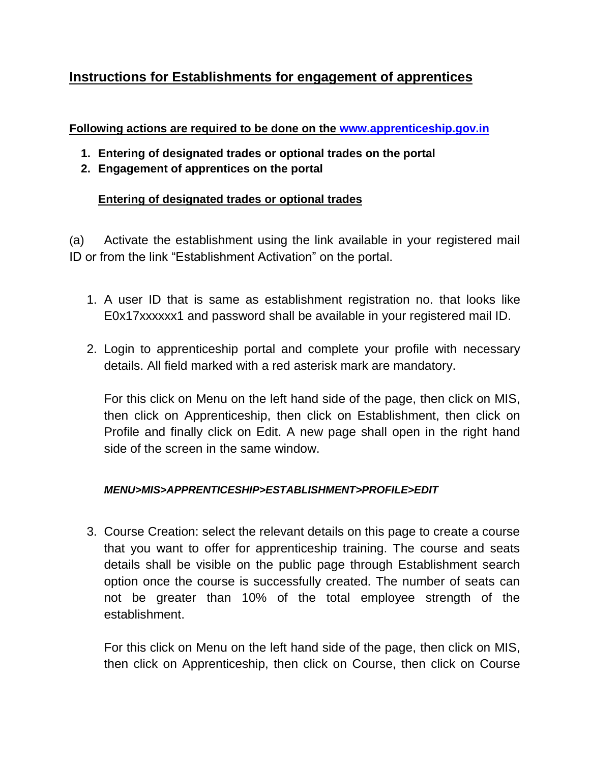# **Instructions for Establishments for engagement of apprentices**

#### **Following actions are required to be done on the [www.apprenticeship.gov.in](http://www.apprenticeship.gov.in/)**

- **1. Entering of designated trades or optional trades on the portal**
- **2. Engagement of apprentices on the portal**

## **Entering of designated trades or optional trades**

(a) Activate the establishment using the link available in your registered mail ID or from the link "Establishment Activation" on the portal.

- 1. A user ID that is same as establishment registration no. that looks like E0x17xxxxxx1 and password shall be available in your registered mail ID.
- 2. Login to apprenticeship portal and complete your profile with necessary details. All field marked with a red asterisk mark are mandatory.

For this click on Menu on the left hand side of the page, then click on MIS, then click on Apprenticeship, then click on Establishment, then click on Profile and finally click on Edit. A new page shall open in the right hand side of the screen in the same window.

#### *MENU>MIS>APPRENTICESHIP>ESTABLISHMENT>PROFILE>EDIT*

3. Course Creation: select the relevant details on this page to create a course that you want to offer for apprenticeship training. The course and seats details shall be visible on the public page through Establishment search option once the course is successfully created. The number of seats can not be greater than 10% of the total employee strength of the establishment.

For this click on Menu on the left hand side of the page, then click on MIS, then click on Apprenticeship, then click on Course, then click on Course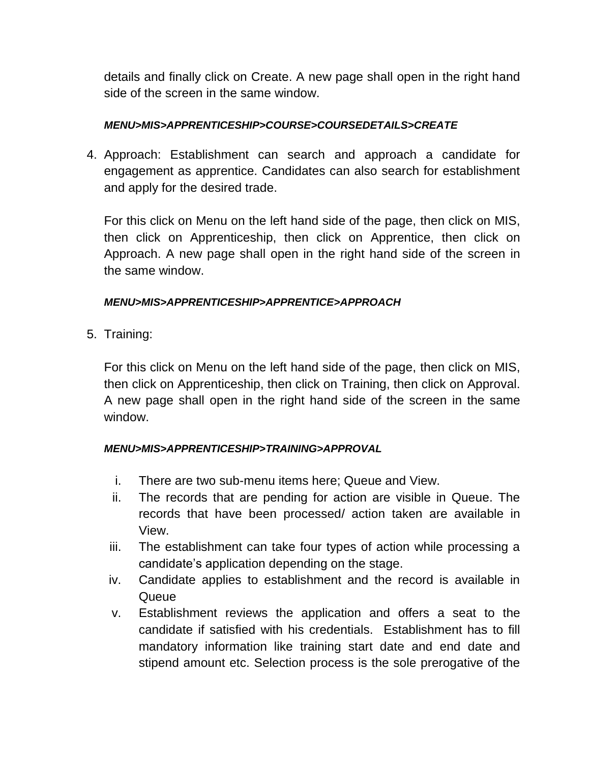details and finally click on Create. A new page shall open in the right hand side of the screen in the same window.

#### *MENU>MIS>APPRENTICESHIP>COURSE>COURSEDETAILS>CREATE*

4. Approach: Establishment can search and approach a candidate for engagement as apprentice. Candidates can also search for establishment and apply for the desired trade.

For this click on Menu on the left hand side of the page, then click on MIS, then click on Apprenticeship, then click on Apprentice, then click on Approach. A new page shall open in the right hand side of the screen in the same window.

#### *MENU>MIS>APPRENTICESHIP>APPRENTICE>APPROACH*

5. Training:

For this click on Menu on the left hand side of the page, then click on MIS, then click on Apprenticeship, then click on Training, then click on Approval. A new page shall open in the right hand side of the screen in the same window.

#### *MENU>MIS>APPRENTICESHIP>TRAINING>APPROVAL*

- i. There are two sub-menu items here; Queue and View.
- ii. The records that are pending for action are visible in Queue. The records that have been processed/ action taken are available in View.
- iii. The establishment can take four types of action while processing a candidate's application depending on the stage.
- iv. Candidate applies to establishment and the record is available in **Queue**
- v. Establishment reviews the application and offers a seat to the candidate if satisfied with his credentials. Establishment has to fill mandatory information like training start date and end date and stipend amount etc. Selection process is the sole prerogative of the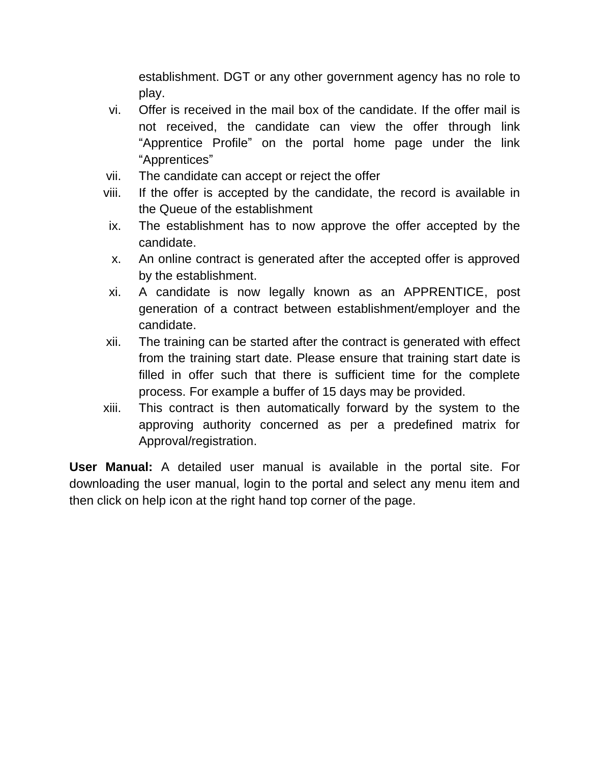establishment. DGT or any other government agency has no role to play.

- vi. Offer is received in the mail box of the candidate. If the offer mail is not received, the candidate can view the offer through link "Apprentice Profile" on the portal home page under the link "Apprentices"
- vii. The candidate can accept or reject the offer
- viii. If the offer is accepted by the candidate, the record is available in the Queue of the establishment
- ix. The establishment has to now approve the offer accepted by the candidate.
- x. An online contract is generated after the accepted offer is approved by the establishment.
- xi. A candidate is now legally known as an APPRENTICE, post generation of a contract between establishment/employer and the candidate.
- xii. The training can be started after the contract is generated with effect from the training start date. Please ensure that training start date is filled in offer such that there is sufficient time for the complete process. For example a buffer of 15 days may be provided.
- xiii. This contract is then automatically forward by the system to the approving authority concerned as per a predefined matrix for Approval/registration.

**User Manual:** A detailed user manual is available in the portal site. For downloading the user manual, login to the portal and select any menu item and then click on help icon at the right hand top corner of the page.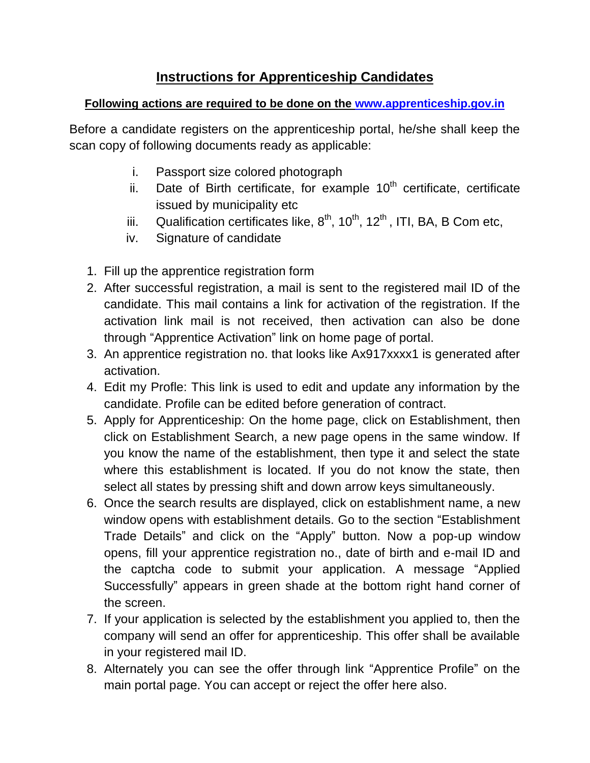## **Instructions for Apprenticeship Candidates**

## **Following actions are required to be done on the [www.apprenticeship.gov.in](http://www.apprenticeship.gov.in/)**

Before a candidate registers on the apprenticeship portal, he/she shall keep the scan copy of following documents ready as applicable:

- i. Passport size colored photograph
- ii. Date of Birth certificate, for example  $10<sup>th</sup>$  certificate, certificate issued by municipality etc
- iii. Qualification certificates like,  $8^{th}$ ,  $10^{th}$ ,  $12^{th}$ , ITI, BA, B Com etc,
- iv. Signature of candidate
- 1. Fill up the apprentice registration form
- 2. After successful registration, a mail is sent to the registered mail ID of the candidate. This mail contains a link for activation of the registration. If the activation link mail is not received, then activation can also be done through "Apprentice Activation" link on home page of portal.
- 3. An apprentice registration no. that looks like Ax917xxxx1 is generated after activation.
- 4. Edit my Profle: This link is used to edit and update any information by the candidate. Profile can be edited before generation of contract.
- 5. Apply for Apprenticeship: On the home page, click on Establishment, then click on Establishment Search, a new page opens in the same window. If you know the name of the establishment, then type it and select the state where this establishment is located. If you do not know the state, then select all states by pressing shift and down arrow keys simultaneously.
- 6. Once the search results are displayed, click on establishment name, a new window opens with establishment details. Go to the section "Establishment Trade Details" and click on the "Apply" button. Now a pop-up window opens, fill your apprentice registration no., date of birth and e-mail ID and the captcha code to submit your application. A message "Applied Successfully" appears in green shade at the bottom right hand corner of the screen.
- 7. If your application is selected by the establishment you applied to, then the company will send an offer for apprenticeship. This offer shall be available in your registered mail ID.
- 8. Alternately you can see the offer through link "Apprentice Profile" on the main portal page. You can accept or reject the offer here also.